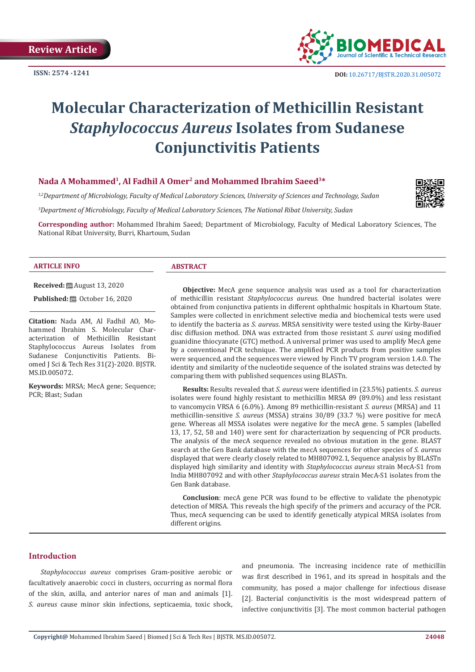**ISSN: 2574 -1241**



# **Molecular Characterization of Methicillin Resistant**  *Staphylococcus Aureus* **Isolates from Sudanese Conjunctivitis Patients**

# **Nada A Mohammed1, Al Fadhil A Omer2 and Mohammed Ibrahim Saeed3\***

*1,2Department of Microbiology, Faculty of Medical Laboratory Sciences, University of Sciences and Technology, Sudan*

*3 Department of Microbiology, Faculty of Medical Laboratory Sciences, The National Ribat University, Sudan*

**Corresponding author:** Mohammed Ibrahim Saeed; Department of Microbiology, Faculty of Medical Laboratory Sciences, The National Ribat University, Burri, Khartoum, Sudan

#### **ARTICLE INFO ABSTRACT**

**Received:** August 13, 2020

**Published:** ■ October 16, 2020

**Citation:** Nada AM, Al Fadhil AO, Mohammed Ibrahim S. Molecular Characterization of Methicillin Resistant Staphylococcus Aureus Isolates from Sudanese Conjunctivitis Patients. Biomed J Sci & Tech Res 31(2)-2020. BJSTR. MS.ID.005072.

**Keywords:** MRSA; MecA gene; Sequence; PCR; Blast; Sudan

**Objective:** MecA gene sequence analysis was used as a tool for characterization of methicillin resistant *Staphylococcus aureus*. One hundred bacterial isolates were obtained from conjunctiva patients in different ophthalmic hospitals in Khartoum State. Samples were collected in enrichment selective media and biochemical tests were used to identify the bacteria as *S. aureus*. MRSA sensitivity were tested using the Kirby-Bauer disc diffusion method. DNA was extracted from those resistant *S. aurei* using modified guanidine thiocyanate (GTC) method. A universal primer was used to amplify MecA gene by a conventional PCR technique. The amplified PCR products from positive samples were sequenced, and the sequences were viewed by Finch TV program version 1.4.0. The identity and similarity of the nucleotide sequence of the isolated strains was detected by comparing them with published sequences using BLASTn.

**Results:** Results revealed that *S. aureus* were identified in (23.5%) patients. *S. aureus* isolates were found highly resistant to methicillin MRSA 89 (89.0%) and less resistant to vancomycin VRSA 6 (6.0%). Among 89 methicillin-resistant *S. aureus* (MRSA) and 11 methicillin-sensitive *S. aureus* (MSSA) strains 30/89 (33.7 %) were positive for mecA gene. Whereas all MSSA isolates were negative for the mecA gene. 5 samples (labelled 13, 17, 52, 58 and 140) were sent for characterization by sequencing of PCR products. The analysis of the mecA sequence revealed no obvious mutation in the gene. BLAST search at the Gen Bank database with the mecA sequences for other species of *S. aureus* displayed that were clearly closely related to MH807092.1, Sequence analysis by BLASTn displayed high similarity and identity with *Staphylococcus aureus* strain MecA-S1 from India MH807092 and with other *Staphylococcus aureus* strain MecA-S1 isolates from the Gen Bank database.

**Conclusion**: mecA gene PCR was found to be effective to validate the phenotypic detection of MRSA. This reveals the high specify of the primers and accuracy of the PCR. Thus, mecA sequencing can be used to identify genetically atypical MRSA isolates from different origins.

# **Introduction**

*Staphylococcus aureus* comprises Gram-positive aerobic or facultatively anaerobic cocci in clusters, occurring as normal flora of the skin, axilla, and anterior nares of man and animals [1]. *S. aureus* cause minor skin infections, septicaemia, toxic shock, and pneumonia. The increasing incidence rate of methicillin was first described in 1961, and its spread in hospitals and the community, has posed a major challenge for infectious disease [2]. Bacterial conjunctivitis is the most widespread pattern of infective conjunctivitis [3]. The most common bacterial pathogen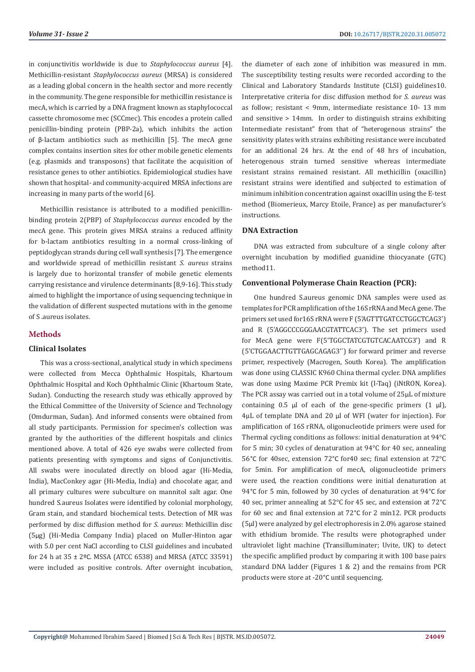in conjunctivitis worldwide is due to *Staphylococcus aureus* [4]. Methicillin-resistant *Staphylococcus aureus* (MRSA) is considered as a leading global concern in the health sector and more recently in the community. The gene responsible for methicillin resistance is mecA, which is carried by a DNA fragment known as staphylococcal cassette chromosome mec (SCCmec). This encodes a protein called penicillin-binding protein (PBP-2a), which inhibits the action of β-lactam antibiotics such as methicillin [5]. The mecA gene complex contains insertion sites for other mobile genetic elements (e.g. plasmids and transposons) that facilitate the acquisition of resistance genes to other antibiotics. Epidemiological studies have shown that hospital- and community-acquired MRSA infections are increasing in many parts of the world [6].

Methicillin resistance is attributed to a modified penicillinbinding protein 2(PBP) of *Staphylococcus aureus* encoded by the mecA gene. This protein gives MRSA strains a reduced affinity for b-lactam antibiotics resulting in a normal cross-linking of peptidoglycan strands during cell wall synthesis [7]. The emergence and worldwide spread of methicillin resistant *S. aureus* strains is largely due to horizontal transfer of mobile genetic elements carrying resistance and virulence determinants [8,9-16]. This study aimed to highlight the importance of using sequencing technique in the validation of different suspected mutations with in the genome of S .aureus isolates.

# **Methods**

### **Clinical Isolates**

This was a cross-sectional, analytical study in which specimens were collected from Mecca Ophthalmic Hospitals, Khartoum Ophthalmic Hospital and Koch Ophthalmic Clinic (Khartoum State, Sudan). Conducting the research study was ethically approved by the Ethical Committee of the University of Science and Technology (Omdurman, Sudan). And informed consents were obtained from all study participants. Permission for specimen's collection was granted by the authorities of the different hospitals and clinics mentioned above. A total of 426 eye swabs were collected from patients presenting with symptoms and signs of Conjunctivitis. All swabs were inoculated directly on blood agar (Hi-Media, India), MacConkey agar (Hi-Media, India) and chocolate agar, and all primary cultures were subculture on mannitol salt agar. One hundred S.aureus Isolates were identified by colonial morphology, Gram stain, and standard biochemical tests. Detection of MR was performed by disc diffusion method for *S. aureus*: Methicillin disc (5μg) (Hi-Media Company India) placed on Muller-Hinton agar with 5.0 per cent NaCl according to CLSI guidelines and incubated for 24 h at 35 ± 2ºC. MSSA (ATCC 6538) and MRSA (ATCC 33591) were included as positive controls. After overnight incubation, the diameter of each zone of inhibition was measured in mm. The susceptibility testing results were recorded according to the Clinical and Laboratory Standards Institute (CLSI) guidelines10. Interpretative criteria for disc diffusion method for *S. aureus* was as follow; resistant < 9mm, intermediate resistance 10- 13 mm and sensitive > 14mm. In order to distinguish strains exhibiting Intermediate resistant" from that of "heterogenous strains" the sensitivity plates with strains exhibiting resistance were incubated for an additional 24 hrs. At the end of 48 hrs of incubation, heterogenous strain turned sensitive whereas intermediate resistant strains remained resistant. All methicillin (oxacillin) resistant strains were identified and subjected to estimation of minimum inhibition concentration against oxacillin using the E-test method (Biomerieux, Marcy Etoile, France) as per manufacturer's instructions.

# **DNA Extraction**

DNA was extracted from subculture of a single colony after overnight incubation by modified guanidine thiocyanate (GTC) method11.

# **Conventional Polymerase Chain Reaction (PCR):**

One hundred S.aureus genomic DNA samples were used as templates for PCR amplification of the 16S rRNA and MecA gene. The primers set used for16S rRNA were F (5'AGTTTGATCCTGGCTCAG3') and R (5'AGGCCCGGGAACGTATTCAC3'). The set primers used for MecA gene were F(5'TGGCTATCGTGTCACAATCG3') and R (5'CTGGAACTTGTTGAGCAGAG3'´) for forward primer and reverse primer, respectively (Macrogen, South Korea). The amplification was done using CLASSIC K960 China thermal cycler. DNA amplifies was done using Maxime PCR Premix kit (I-Taq) (iNtRON, Korea). The PCR assay was carried out in a total volume of 25μL of mixture containing  $0.5$  μl of each of the gene-specific primers  $(1 \text{ }\mu\text{l})$ , 4μL of template DNA and 20 μl of WFI (water for injection). For amplification of 16S rRNA, oligonucleotide primers were used for Thermal cycling conditions as follows: initial denaturation at 94°C for 5 min; 30 cycles of denaturation at 94°C for 40 sec, annealing 56°C for 40sec, extension 72°C for40 sec; final extension at 72°C for 5min. For amplification of mecA, oligonucleotide primers were used, the reaction conditions were initial denaturation at 94°C for 5 min, followed by 30 cycles of denaturation at 94°C for 40 sec, primer annealing at 52°C for 45 sec, and extension at 72°C for 60 sec and final extension at 72°C for 2 min12. PCR products (5μl) were analyzed by gel electrophoresis in 2.0% agarose stained with ethidium bromide. The results were photographed under ultraviolet light machine (Transilluminater; Uvite, UK) to detect the specific amplified product by comparing it with 100 base pairs standard DNA ladder (Figures 1 & 2) and the remains from PCR products were store at -20°C until sequencing.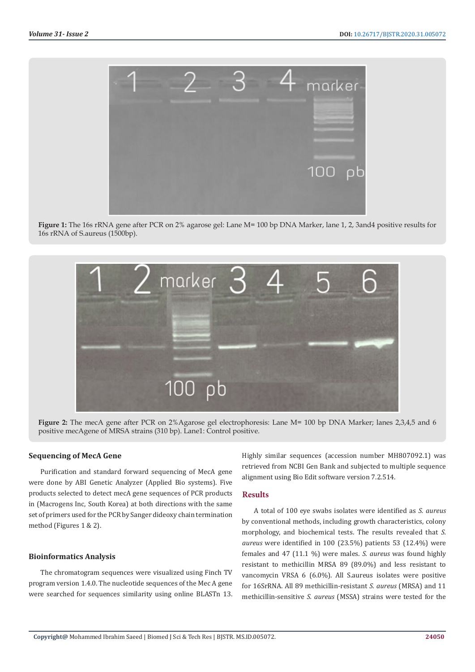

**Figure 1:** The 16s rRNA gene after PCR on 2% agarose gel: Lane M= 100 bp DNA Marker, lane 1, 2, 3and4 positive results for 16s rRNA of S.aureus (1500bp).



**Figure 2:** The mecA gene after PCR on 2%Agarose gel electrophoresis: Lane M= 100 bp DNA Marker; lanes 2,3,4,5 and 6 positive mecAgene of MRSA strains (310 bp). Lane1: Control positive.

#### **Sequencing of MecA Gene**

Purification and standard forward sequencing of MecA gene were done by ABI Genetic Analyzer (Applied Bio systems). Five products selected to detect mecA gene sequences of PCR products in (Macrogens Inc, South Korea) at both directions with the same set of primers used for the PCR by Sanger dideoxy chain termination method (Figures 1 & 2).

#### **Bioinformatics Analysis**

The chromatogram sequences were visualized using Finch TV program version 1.4.0. The nucleotide sequences of the Mec A gene were searched for sequences similarity using online BLASTn 13. Highly similar sequences (accession number MH807092.1) was retrieved from NCBI Gen Bank and subjected to multiple sequence alignment using Bio Edit software version 7.2.514.

### **Results**

A total of 100 eye swabs isolates were identified as *S. aureus* by conventional methods, including growth characteristics, colony morphology, and biochemical tests. The results revealed that *S. aureus* were identified in 100 (23.5%) patients 53 (12.4%) were females and 47 (11.1 %) were males. *S. aureus* was found highly resistant to methicillin MRSA 89 (89.0%) and less resistant to vancomycin VRSA 6 (6.0%). All S.aureus isolates were positive for 16SrRNA. All 89 methicillin-resistant *S. aureus* (MRSA) and 11 methicillin-sensitive *S. aureus* (MSSA) strains were tested for the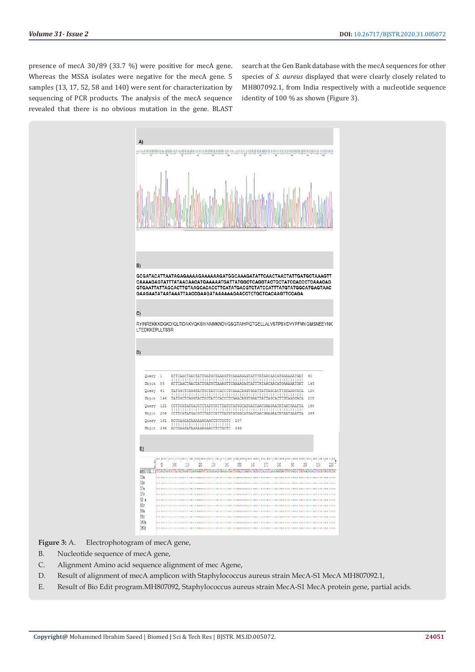presence of mecA 30/89 (33.7 %) were positive for mecA gene. Whereas the MSSA isolates were negative for the mecA gene. 5 samples (13, 17, 52, 58 and 140) were sent for characterization by sequencing of PCR products. The analysis of the mecA sequence revealed that there is no obvious mutation in the gene. BLAST

search at the Gen Bank database with the mecA sequences for other species of *S. aureus* displayed that were clearly closely related to MH807092.1, from India respectively with a nucleotide sequence identity of 100 % as shown (Figure 3).



Figure 3: A. Electrophotogram of mecA gene,

- B. Nucleotide sequence of mecA gene,
- C. Alignment Amino acid sequence alignment of mec Agene,
- D. Result of alignment of mecA amplicon with Staphylococcus aureus strain MecA-S1 MecA MH807092.1,
- E. Result of Bio Edit program.MH807092, Staphylococcus aureus strain MecA-S1 MecA protein gene, partial acids.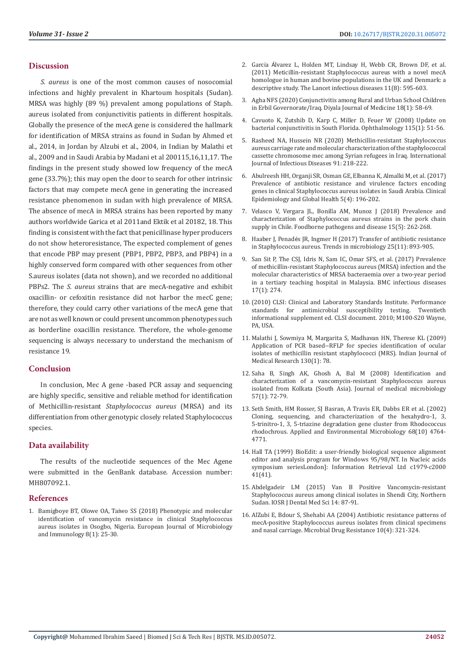#### **Discussion**

*S. aureus* is one of the most common causes of nosocomial infections and highly prevalent in Khartoum hospitals (Sudan). MRSA was highly (89 %) prevalent among populations of Staph. aureus isolated from conjunctivitis patients in different hospitals. Globally the presence of the mecA gene is considered the hallmark for identification of MRSA strains as found in Sudan by Ahmed et al., 2014, in Jordan by Alzubi et al., 2004, in Indian by Malathi et al., 2009 and in Saudi Arabia by Madani et al 200115,16,11,17. The findings in the present study showed low frequency of the mecA gene (33.7%); this may open the door to search for other intrinsic factors that may compete mecA gene in generating the increased resistance phenomenon in sudan with high prevalence of MRSA. The absence of mecA in MRSA strains has been reported by many authors worldwide Garica et al 2011and Ektik et al 20182, 18. This finding is consistent with the fact that penicillinase hyper producers do not show heteroresistance, The expected complement of genes that encode PBP may present (PBP1, PBP2, PBP3, and PBP4) in a highly conserved form compared with other sequences from other S.aureus isolates (data not shown), and we recorded no additional PBPs2. The *S. aureus* strains that are mecA-negative and exhibit oxacillin- or cefoxitin resistance did not harbor the mecC gene; therefore, they could carry other variations of the mecA gene that are not as well known or could present uncommon phenotypes such as borderline oxacillin resistance. Therefore, the whole-genome sequencing is always necessary to understand the mechanism of resistance 19.

### **Conclusion**

In conclusion, Mec A gene -based PCR assay and sequencing are highly specific, sensitive and reliable method for identification of Methicillin-resistant *Staphylococcus aureus* (MRSA) and its differentiation from other genotypic closely related Staphylococcus species.

#### **Data availability**

The results of the nucleotide sequences of the Mec Agene were submitted in the GenBank database. Accession number: MH807092.1.

#### **References**

1. [Bamigboye BT, Olowe OA, Taiwo SS \(2018\) Phenotypic and molecular](https://pubmed.ncbi.nlm.nih.gov/29760962/)  [identification of vancomycin resistance in clinical Staphylococcus](https://pubmed.ncbi.nlm.nih.gov/29760962/)  [aureus isolates in Osogbo, Nigeria. European Journal of Microbiology](https://pubmed.ncbi.nlm.nih.gov/29760962/)  [and Immunology 8\(1\): 25-30.](https://pubmed.ncbi.nlm.nih.gov/29760962/) 

- 2. García Á[lvarez L, Holden MT, Lindsay H, Webb CR, Brown DF, et al.](https://pubmed.ncbi.nlm.nih.gov/21641281/) [\(2011\) Meticillin-resistant Staphylococcus aureus with a novel mecA](https://pubmed.ncbi.nlm.nih.gov/21641281/) [homologue in human and bovine populations in the UK and Denmark: a](https://pubmed.ncbi.nlm.nih.gov/21641281/) [descriptive study. The Lancet infectious diseases 11\(8\): 595-603.](https://pubmed.ncbi.nlm.nih.gov/21641281/)
- 3. [Agha NFS \(2020\) Conjunctivitis among Rural and Urban School Children](https://www.researchgate.net/publication/340337252_Conjunctivitis_among_Rural_and_Urban_School_Children_in_Erbil_Governorate_Iraq) [in Erbil Governorate/Iraq. Diyala Journal of Medicine 18\(1\): 58-69.](https://www.researchgate.net/publication/340337252_Conjunctivitis_among_Rural_and_Urban_School_Children_in_Erbil_Governorate_Iraq)
- 4. [Cavuoto K, Zutshib D, Karp C, Miller D, Feuer W \(2008\) Update on](https://www.sciencedirect.com/science/article/abs/pii/S0161642007003831) [bacterial conjunctivitis in South Florida. Ophthalmology 115\(1\): 51-56.](https://www.sciencedirect.com/science/article/abs/pii/S0161642007003831)
- 5. [Rasheed NA, Hussein NR \(2020\) Methicillin-resistant Staphylococcus](https://www.sciencedirect.com/science/article/pii/S1201971219304795) [aureus carriage rate and molecular characterization of the staphylococcal](https://www.sciencedirect.com/science/article/pii/S1201971219304795) [cassette chromosome mec among Syrian refugees in Iraq. International](https://www.sciencedirect.com/science/article/pii/S1201971219304795) [Journal of Infectious Diseases 91: 218-222.](https://www.sciencedirect.com/science/article/pii/S1201971219304795)
- 6. [Abulreesh HH, Organji SR, Osman GE, Elbanna K, Almalki M, et al. \(2017\)](https://www.sciencedirect.com/science/article/abs/pii/S2213398416300379) [Prevalence of antibiotic resistance and virulence factors encoding](https://www.sciencedirect.com/science/article/abs/pii/S2213398416300379) [genes in clinical Staphylococcus aureus isolates in Saudi Arabia. Clinical](https://www.sciencedirect.com/science/article/abs/pii/S2213398416300379) [Epidemiology and Global Health 5\(4\): 196-202.](https://www.sciencedirect.com/science/article/abs/pii/S2213398416300379)
- 7. [Velasco V, Vergara JL, Bonilla AM, Munoz J \(2018\) Prevalence and](https://www.unboundmedicine.com/medline/citation/29364698/Prevalence_and_Characterization_of_Staphylococcus_aureus_Strains_in_the_Pork_Chain_Supply_in_Chile_) [characterization of Staphylococcus aureus strains in the pork chain](https://www.unboundmedicine.com/medline/citation/29364698/Prevalence_and_Characterization_of_Staphylococcus_aureus_Strains_in_the_Pork_Chain_Supply_in_Chile_) [supply in Chile. Foodborne pathogens and disease 15\(5\): 262-268.](https://www.unboundmedicine.com/medline/citation/29364698/Prevalence_and_Characterization_of_Staphylococcus_aureus_Strains_in_the_Pork_Chain_Supply_in_Chile_)
- 8. Haaber J, Penadé[s JR, Ingmer H \(2017\) Transfer of antibiotic resistance](https://www.sciencedirect.com/science/article/abs/pii/S0966842X17301257) [in Staphylococcus aureus. Trends in microbiology 25\(11\): 893-905.](https://www.sciencedirect.com/science/article/abs/pii/S0966842X17301257)
- 9. [San Sit P, The CSJ, Idris N, Sam IC, Omar SFS, et al. \(2017\) Prevalence](https://www.researchgate.net/publication/316101070_Prevalence_of_methicillin-resistant_Staphylococcus_aureus_MRSA_infection_and_the_molecular_characteristics_of_MRSA_bacteraemia_over_a_two-year_period_in_a_tertiary_teaching_hospital_in_Malaysia) [of methicillin-resistant Staphylococcus aureus \(MRSA\) infection and the](https://www.researchgate.net/publication/316101070_Prevalence_of_methicillin-resistant_Staphylococcus_aureus_MRSA_infection_and_the_molecular_characteristics_of_MRSA_bacteraemia_over_a_two-year_period_in_a_tertiary_teaching_hospital_in_Malaysia) [molecular characteristics of MRSA bacteraemia over a two-year period](https://www.researchgate.net/publication/316101070_Prevalence_of_methicillin-resistant_Staphylococcus_aureus_MRSA_infection_and_the_molecular_characteristics_of_MRSA_bacteraemia_over_a_two-year_period_in_a_tertiary_teaching_hospital_in_Malaysia) [in a tertiary teaching hospital in Malaysia. BMC infectious diseases](https://www.researchgate.net/publication/316101070_Prevalence_of_methicillin-resistant_Staphylococcus_aureus_MRSA_infection_and_the_molecular_characteristics_of_MRSA_bacteraemia_over_a_two-year_period_in_a_tertiary_teaching_hospital_in_Malaysia) [17\(1\): 274.](https://www.researchgate.net/publication/316101070_Prevalence_of_methicillin-resistant_Staphylococcus_aureus_MRSA_infection_and_the_molecular_characteristics_of_MRSA_bacteraemia_over_a_two-year_period_in_a_tertiary_teaching_hospital_in_Malaysia)
- 10.(2010) CLSI: Clinical and Laboratory Standards Institute. Performance standards for antimicrobial susceptibility testing. Twentieth informational supplement ed. CLSI document. 2010; M100-S20 Wayne, PA, USA.
- 11. [Malathi J, Sowmiya M, Margarita S, Madhavan HN, Therese KL \(2009\)](https://www.researchgate.net/publication/26761147_Application_of_PCR_based_-_RFLP_for_species_identification_of_ocular_isolates_of_methicillin_resistant_staphylococci_MRS) [Application of PCR based--RFLP for species identification of ocular](https://www.researchgate.net/publication/26761147_Application_of_PCR_based_-_RFLP_for_species_identification_of_ocular_isolates_of_methicillin_resistant_staphylococci_MRS) [isolates of methicillin resistant staphylococci \(MRS\). Indian Journal of](https://www.researchgate.net/publication/26761147_Application_of_PCR_based_-_RFLP_for_species_identification_of_ocular_isolates_of_methicillin_resistant_staphylococci_MRS) [Medical Research 130\(1\): 78.](https://www.researchgate.net/publication/26761147_Application_of_PCR_based_-_RFLP_for_species_identification_of_ocular_isolates_of_methicillin_resistant_staphylococci_MRS)
- 12. [Saha B, Singh AK, Ghosh A, Bal M \(2008\) Identification and](https://www.microbiologyresearch.org/content/journal/jmm/10.1099/jmm.0.47144-0) [characterization of a vancomycin-resistant Staphylococcus aureus](https://www.microbiologyresearch.org/content/journal/jmm/10.1099/jmm.0.47144-0) [isolated from Kolkata \(South Asia\). Journal of medical microbiology](https://www.microbiologyresearch.org/content/journal/jmm/10.1099/jmm.0.47144-0) [57\(1\): 72-79.](https://www.microbiologyresearch.org/content/journal/jmm/10.1099/jmm.0.47144-0)
- 13. [Seth Smith, HM Rosser, SJ Basran, A Travis ER, Dabbs ER et al. \(2002\)](https://aem.asm.org/content/68/10/4764.short) [Cloning, sequencing, and characterization of the hexahydro-1, 3,](https://aem.asm.org/content/68/10/4764.short) [5-trinitro-1, 3, 5-triazine degradation gene cluster from Rhodococcus](https://aem.asm.org/content/68/10/4764.short) [rhodochrous. Applied and Environmental Microbiology 68\(10\) 4764-](https://aem.asm.org/content/68/10/4764.short) [4771.](https://aem.asm.org/content/68/10/4764.short)
- 14. [Hall TA \(1999\) BioEdit: a user-friendly biological sequence alignment](https://www.scienceopen.com/document?vid=8b59b929-3c37-49f6-936b-f8bf6dd92ace) [editor and analysis program for Windows 95/98/NT. In Nucleic acids](https://www.scienceopen.com/document?vid=8b59b929-3c37-49f6-936b-f8bf6dd92ace) [symposium seriesLondon\]: Information Retrieval Ltd c1979-c2000](https://www.scienceopen.com/document?vid=8b59b929-3c37-49f6-936b-f8bf6dd92ace) [41\(41\).](https://www.scienceopen.com/document?vid=8b59b929-3c37-49f6-936b-f8bf6dd92ace)
- 15. [Abdelgadeir LM \(2015\) Van B Positive Vancomycin-resistant](http://www.sustech.edu/staff_publications/20160124065554617.pdf) [Staphylococcus aureus among clinical isolates in Shendi City, Northern](http://www.sustech.edu/staff_publications/20160124065554617.pdf) [Sudan. IOSR J Dental Med Sci 14: 87-91.](http://www.sustech.edu/staff_publications/20160124065554617.pdf)
- 16. [AlZubi E, Bdour S, Shehabi AA \(2004\) Antibiotic resistance patterns of](https://www.researchgate.net/publication/8081774_Antibiotic_Resistance_Patterns_of_mecA_-Positive_Staphylococcus_aureus_Isolates_from_Clinical_Specimens_and_Nasal_Carriage) [mecA-positive Staphylococcus aureus isolates from clinical specimens](https://www.researchgate.net/publication/8081774_Antibiotic_Resistance_Patterns_of_mecA_-Positive_Staphylococcus_aureus_Isolates_from_Clinical_Specimens_and_Nasal_Carriage) [and nasal carriage. Microbial Drug Resistance 10\(4\): 321-324.](https://www.researchgate.net/publication/8081774_Antibiotic_Resistance_Patterns_of_mecA_-Positive_Staphylococcus_aureus_Isolates_from_Clinical_Specimens_and_Nasal_Carriage)